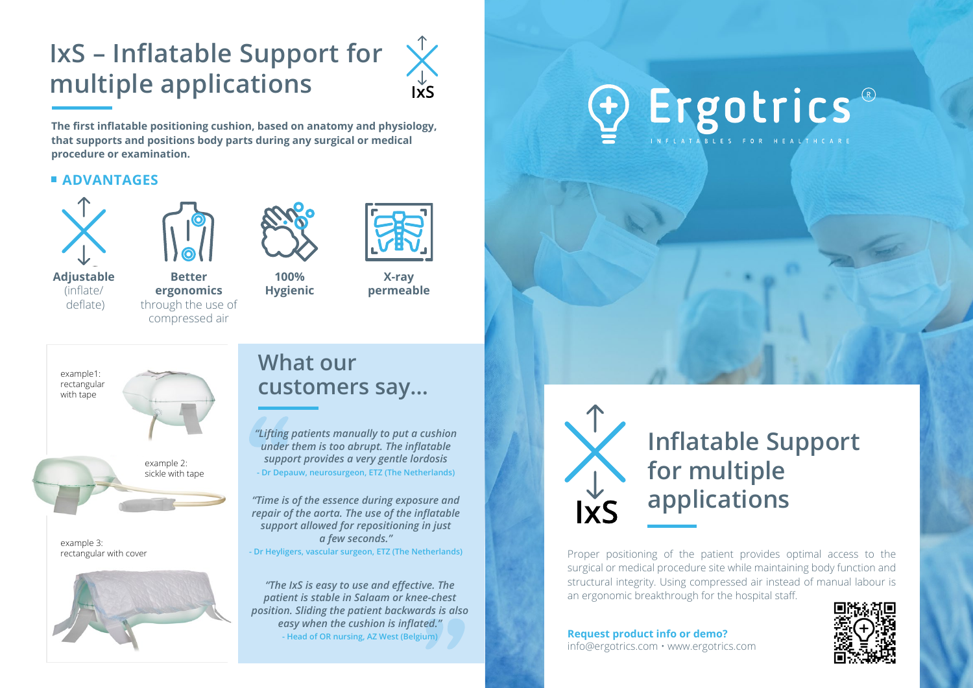## **IxS – Inflatable Support for multiple applications**



**The first inflatable positioning cushion, based on anatomy and physiology, that supports and positions body parts during any surgical or medical procedure or examination.**

### **ADVANTAGES**



**Adjustable**  (inflate/ deflate)



**100% Hygienic**

**Better ergonomics** through the use of compressed air





**X-ray permeable**



example 3: rectangular with cover



### **What our customers say…**

*"Lifting patients manually to put a cushion under them is too abrupt. The inflatable support provides a very gentle lordosis* **- Dr Depauw, neurosurgeon, ETZ (The Netherlands)**

*"Time is of the essence during exposure and repair of the aorta. The use of the inflatable support allowed for repositioning in just a few seconds."* **- Dr Heyligers, vascular surgeon, ETZ (The Netherlands)**

*"The IxS is easy to use and effective. The patient is stable in Salaam or knee-chest position. Sliding the patient backwards is also easy when the cushion is inflated."*  **- Head of OR nursing, AZ West (Belgium)**

# Ergotrics<sup>®</sup>



Proper positioning of the patient provides optimal access to the surgical or medical procedure site while maintaining body function and structural integrity. Using compressed air instead of manual labour is an ergonomic breakthrough for the hospital staff.

**Request product info or demo?** info@ergotrics.com • www.ergotrics.com